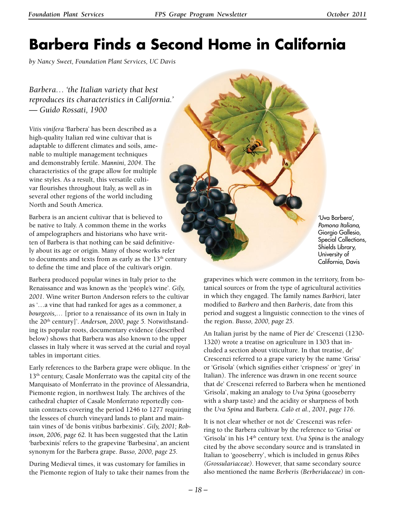# **Barbera Finds a Second Home in California**

*by Nancy Sweet, Foundation Plant Services, UC Davis* 

*Barbera… 'the Italian variety that best reproduces its characteristics in California.' — Guido Rossati, 1900*

*Vitis vinifera* 'Barbera' has been described as a high-quality Italian red wine cultivar that is adaptable to different climates and soils, amenable to multiple management techniques and demonstrably fertile. *Mannini, 2004*. The characteristics of the grape allow for multiple wine styles. As a result, this versatile cultivar flourishes throughout Italy, as well as in several other regions of the world including North and South America.

Barbera is an ancient cultivar that is believed to be native to Italy. A common theme in the works of ampelographers and historians who have written of Barbera is that nothing can be said definitively about its age or origin. Many of those works refer to documents and texts from as early as the  $13<sup>th</sup>$  century to define the time and place of the cultivar's origin.

Barbera produced popular wines in Italy prior to the Renaissance and was known as the 'people's wine'. *Gily, 2001.* Wine writer Burton Anderson refers to the cultivar as '…a vine that had ranked for ages as a commoner, a *bourgeois,…* [prior to a renaissance of its own in Italy in the 20th century]'. *Anderson, 2000, page 5.* Notwithstanding its popular roots, documentary evidence (described below) shows that Barbera was also known to the upper classes in Italy where it was served at the curial and royal tables in important cities.

Early references to the Barbera grape were oblique. In the 13<sup>th</sup> century, Casale Monferrato was the capital city of the Marquisato of Monferrato in the province of Alessandria, Piemonte region, in northwest Italy. The archives of the cathedral chapter of Casale Monferrato reportedly contain contracts covering the period 1246 to 1277 requiring the lessees of church vineyard lands to plant and maintain vines of 'de bonis vitibus barbexinis'. *Gily, 2001; Robinson, 2006, page 62.* It has been suggested that the Latin 'barbexinis' refers to the grapevine 'Barbesina', an ancient synonym for the Barbera grape. *Busso, 2000, page 25.*

During Medieval times, it was customary for families in the Piemonte region of Italy to take their names from the

'Uva Barbera', *Pomona Italiana*, Giorgio Gallesio, Special Collections, Shields Library, University of California, Davis

grapevines which were common in the territory, from botanical sources or from the type of agricultural activities in which they engaged. The family names *Barbieri,* later modified to *Barbero* and then *Barberis*, date from this period and suggest a linguistic connection to the vines of the region. *Busso, 2000, page 25.*

An Italian jurist by the name of Pier de' Crescenzi (1230- 1320) wrote a treatise on agriculture in 1303 that included a section about viticulture. In that treatise, de' Crescenzi referred to a grape variety by the name 'Grisa' or 'Grisola' (which signifies either 'crispness' or 'grey' in Italian). The inference was drawn in one recent source that de' Crescenzi referred to Barbera when he mentioned 'Grisola', making an analogy to *Uva Spina* (gooseberry with a sharp taste) and the acidity or sharpness of both the *Uva Spina* and Barbera. *Calò et al., 2001, page 176.*

It is not clear whether or not de' Crescenzi was referring to the Barbera cultivar by the reference to 'Grisa' or 'Grisola' in his 14th century text. *Uva Spina* is the analogy cited by the above secondary source and is translated in Italian to 'gooseberry', which is included in genus *Ribes (Grossulariaceae).* However, that same secondary source also mentioned the name *Berberis (Berberidaceae)* in con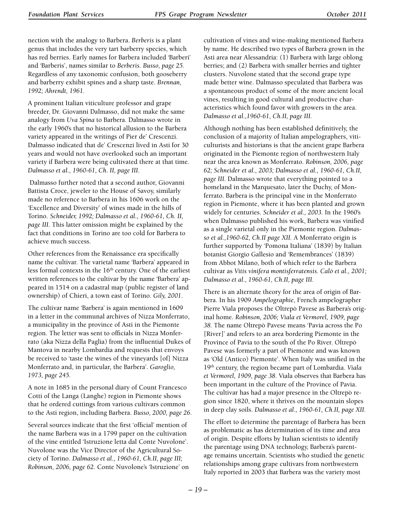nection with the analogy to Barbera. *Berberis* is a plant genus that includes the very tart barberry species, which has red berries. Early names for Barbera included 'Barberi' and 'Barberis', names similar to *Berberis*. *Busso, page 25.*  Regardless of any taxonomic confusion, both gooseberry and barberry exhibit spines and a sharp taste. *Brennan, 1992; Ahrendt, 1961.*

A prominent Italian viticulture professor and grape breeder, Dr. Giovanni Dalmasso, did not make the same analogy from *Uva Spina* to Barbera*.* Dalmasso wrote in the early 1960's that no historical allusion to the Barbera variety appeared in the writings of Pier de' Crescenzi. Dalmasso indicated that de' Crescenzi lived in Asti for 30 years and would not have overlooked such an important variety if Barbera were being cultivated there at that time. *Dalmasso et al., 1960-61, Ch. II, page III.*

 Dalmasso further noted that a second author, Giovanni Battista Croce, jeweler to the House of Savoy, similarly made no reference to Barbera in his 1606 work on the 'Excellence and Diversity' of wines made in the hills of Torino. *Schneider, 1992; Dalmasso et al., 1960-61, Ch. II, page III.* This latter omission might be explained by the fact that conditions in Torino are too cold for Barbera to achieve much success.

Other references from the Renaissance era specifically name the cultivar. The varietal name 'Barbera' appeared in less formal contexts in the 16<sup>th</sup> century. One of the earliest written references to the cultivar by the name 'Barbera' appeared in 1514 on a cadastral map (public register of land ownership) of Chieri, a town east of Torino. *Gily, 2001.*

The cultivar name 'Barbera' is again mentioned in 1609 in a letter in the communal archives of Nizza Monferrato, a municipality in the province of Asti in the Piemonte region. The letter was sent to officials in Nizza Monferrato (aka Nizza della Paglia) from the influential Dukes of Mantova in nearby Lombardia and requests that envoys be received to 'taste the wines of the vineyards [of] Nizza Monferrato and, in particular, the Barbera'. *Garoglio, 1973, page 245.*

A note in 1685 in the personal diary of Count Francesco Cotti of the Langa (Langhe) region in Piemonte shows that he ordered cuttings from various cultivars common to the Asti region, including Barbera. *Busso, 2000, page 26.*

Several sources indicate that the first 'official' mention of the name Barbera was in a 1799 paper on the cultivation of the vine entitled 'Istruzione letta dal Conte Nuvolone'. Nuvolone was the Vice Director of the Agricultural Society of Torino. *Dalmasso et al., 1960-61, Ch.II, page III; Robinson, 2006, page 62.* Conte Nuvolone's 'Istruzione' on cultivation of vines and wine-making mentioned Barbera by name. He described two types of Barbera grown in the Asti area near Alessandria: (1) Barbera with large oblong berries; and (2) Barbera with smaller berries and tighter clusters. Nuvolone stated that the second grape type made better wine. Dalmasso speculated that Barbera was a spontaneous product of some of the more ancient local vines, resulting in good cultural and productive characteristics which found favor with growers in the area. *Dalmasso et al.,1960-61, Ch.II, page III.*

Although nothing has been established definitively, the conclusion of a majority of Italian ampelographers, viticulturists and historians is that the ancient grape Barbera originated in the Piemonte region of northwestern Italy near the area known as Monferrato. *Robinson, 2006, page 62; Schneider et al., 2003; Dalmasso et al., 1960-61, Ch.II, page III.* Dalmasso wrote that everything pointed to a homeland in the Marquesato, later the Duchy, of Monferrato. Barbera is the principal vine in the Monferrato region in Piemonte, where it has been planted and grown widely for centuries. *Schneider et al., 2003.* In the 1960's when Dalmasso published his work, Barbera was vinified as a single varietal only in the Piemonte region. *Dalmasso et al.,1960-62, Ch.II page XII.* A Monferrato origin is further supported by 'Pomona Italiana' (1839) by Italian botanist Giorgio Gallesio and 'Remembrances' (1839) from Abbot Milano, both of which refer to the Barbera cultivar as *Vitis vinifera montisferratensis. Calò et al., 2001; Dalmasso et al., 1960-61, Ch.II, page III.*

There is an alternate theory for the area of origin of Barbera. In his 1909 *Ampélographie*, French ampelographer Pierre Viala proposes the Oltrepò Pavese as Barbera's original home. *Robinson, 2006; Viala et Vermorel, 1909, page 38.* The name Oltrepò Pavese means 'Pavia across the Po [River]' and refers to an area bordering Piemonte in the Province of Pavia to the south of the Po River. Oltrepò Pavese was formerly a part of Piemonte and was known as 'Old (Antico) Piemonte'. When Italy was unified in the 19th century, the region became part of Lombardia. *Viala et Vermorel, 1909, page 38.* Viala observes that Barbera has been important in the culture of the Province of Pavia. The cultivar has had a major presence in the Oltrepò region since 1820, where it thrives on the mountain slopes in deep clay soils. *Dalmasso et al., 1960-61, Ch.II, page XII.*

The effort to determine the parentage of Barbera has been as problematic as has determination of its time and area of origin. Despite efforts by Italian scientists to identify the parentage using DNA technology, Barbera's parentage remains uncertain. Scientists who studied the genetic relationships among grape cultivars from northwestern Italy reported in 2003 that Barbera was the variety most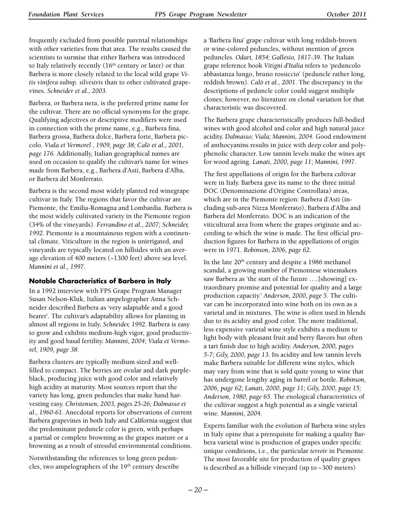frequently excluded from possible parental relationships with other varieties from that area. The results caused the scientists to surmise that either Barbera was introduced to Italy relatively recently  $(16<sup>th</sup>$  century or later) or that Barbera is more closely related to the local wild grape *Vitis vinifera* subsp. *silvestris* than to other cultivated grapevines. *Schneider et al., 2003.*

Barbera, or Barbera nera, is the preferred prime name for the cultivar. There are no official synonyms for the grape. Qualifying adjectives or descriptive modifiers were used in connection with the prime name, e.g., Barbera fina, Barbera grossa, Barbera dolce, Barbera forte, Barbera piccolo. *Viala et Vermorel , 1909, page 38; Calò et al., 2001, page 176.* Additionally, Italian geographical names are used on occasion to qualify the cultivar's name for wines made from Barbera, e.g., Barbera d'Asti, Barbera d'Alba, or Barbera del Monferrato.

Barbera is the second most widely planted red winegrape cultivar in Italy. The regions that favor the cultivar are Piemonte, the Emilia-Romagna and Lombardia. Barbera is the most widely cultivated variety in the Piemonte region (34% of the vineyards). *Ferrandino et al., 2007; Schneider, 1992.* Piemonte is a mountainous region with a continental climate. Viticulture in the region is unirrigated, and vineyards are typically located on hillsides with an average elevation of 400 meters (~1300 feet) above sea level. *Mannini et al., 1997.*

# **Notable Characteristics of Barbera in Italy**

In a 1992 interview with FPS Grape Program Manager Susan Nelson-Kluk, Italian ampelographer Anna Schneider described Barbera as 'very adaptable and a good bearer'. The cultivar's adaptability allows for planting in almost all regions in Italy. *Schneider, 1992.* Barbera is easy to grow and exhibits medium-high vigor, good productivity and good basal fertility. *Mannini, 2004; Viala et Vermorel, 1909, page 38.*

Barbera clusters are typically medium sized and wellfilled to compact. The berries are ovular and dark purpleblack, producing juice with good color and relatively high acidity at maturity. Most sources report that the variety has long, green peduncles that make hand harvesting easy. *Christensen, 2003, pages 25-26; Dalmasso et al., 1960-61.* Anecdotal reports for observations of current Barbera grapevines in both Italy and California suggest that the predominant peduncle color is green, with perhaps a partial or complete browning as the grapes mature or a browning as a result of stressful environmental conditions.

Notwithstanding the references to long green peduncles, two ampelographers of the 19<sup>th</sup> century describe a 'Barbera fina' grape cultivar with long reddish-brown or wine-colored peduncles, without mention of green peduncles. *Odart, 1854; Gallesio, 1817-39.* The Italian grape reference book *Vitigni d'Italia* refers to 'peduncolo abbastanza lungo, bruno rossiccio' (peduncle rather long, reddish brown). *Calò et al., 2001.* The discrepancy in the descriptions of peduncle color could suggest multiple clones; however, no literature on clonal variation for that characteristic was discovered.

The Barbera grape characteristically produces full-bodied wines with good alcohol and color and high natural juice acidity. *Dalmasso; Viala; Mannini, 2004.* Good endowment of anthocyanins results in juice with deep color and polyphenolic character. Low tannin levels make the wines apt for wood ageing. *Lanati, 2000, page 11*; *Mannini, 1997.*

The first appellations of origin for the Barbera cultivar were in Italy. Barbera gave its name to the three initial DOC (Denominazione d'Origine Controllata) areas, which are in the Piemonte region: Barbera d'Asti (including sub-area Nizza Monferrato), Barbera d'Alba and Barbera del Monferrato. DOC is an indication of the viticultural area from where the grapes originate and according to which the wine is made. The first official production figures for Barbera in the appellations of origin were in 1971. *Robinson, 2006, page 62.*

In the late 20th century and despite a 1986 methanol scandal, a growing number of Piemontese winemakers saw Barbera as 'the start of the future ….[showing] extraordinary promise and potential for quality and a large production capacity.' *Anderson, 2000, page 5.* The cultivar can be incorporated into wine both on its own as a varietal and in mixtures. The wine is often used in blends due to its acidity and good color. The more traditional, less expensive varietal wine style exhibits a medium to light body with pleasant fruit and berry flavors but often a tart finish due to high acidity. *Anderson, 2000, pages 5-7; Gily, 2000, page 13.* Its acidity and low tannin levels make Barbera suitable for different wine styles, which may vary from wine that is sold quite young to wine that has undergone lengthy aging in barrel or bottle. *Robinson, 2006, page 62; Lanati, 2000, page 11; Gily, 2000, page 15; Anderson, 1980, page 65.* The enological characteristics of the cultivar suggest a high potential as a single varietal wine. *Mannini, 2004.*

Experts familiar with the evolution of Barbera wine styles in Italy opine that a prerequisite for making a quality Barbera varietal wine is production of grapes under specific unique conditions, i.e., the particular *terroir* in Piemonte. The most favorable site for production of quality grapes is described as a hillside vineyard (up to ~300 meters)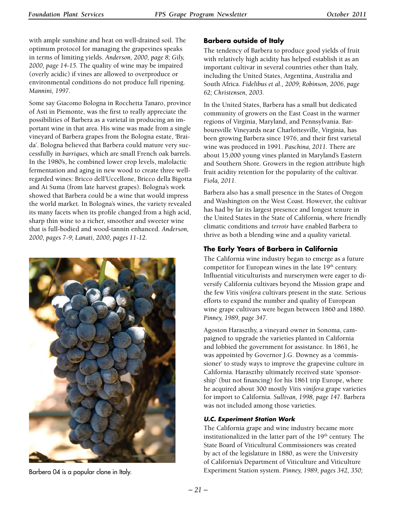with ample sunshine and heat on well-drained soil. The optimum protocol for managing the grapevines speaks in terms of limiting yields. *Anderson, 2000, page 8; Gily, 2000, page 14-15.* The quality of wine may be impaired (overly acidic) if vines are allowed to overproduce or environmental conditions do not produce full ripening. *Mannini, 1997.*

Some say Giacomo Bologna in Rocchetta Tanaro, province of Asti in Piemonte, was the first to really appreciate the possibilities of Barbera as a varietal in producing an important wine in that area. His wine was made from a single vineyard of Barbera grapes from the Bologna estate, 'Braida'. Bologna believed that Barbera could mature very successfully in *barriques,* which are small French oak barrels. In the 1980's, he combined lower crop levels, malolactic fermentation and aging in new wood to create three wellregarded wines: Bricco dell'Uccellone, Bricco della Bigotta and Ai Suma (from late harvest grapes). Bologna's work showed that Barbera could be a wine that would impress the world market. In Bologna's wines, the variety revealed its many facets when its profile changed from a high acid, sharp thin wine to a richer, smoother and sweeter wine that is full-bodied and wood-tannin enhanced. *Anderson, 2000, pages 7-9; Lanati, 2000, pages 11-12.*



# **Barbera outside of Italy**

The tendency of Barbera to produce good yields of fruit with relatively high acidity has helped establish it as an important cultivar in several countries other than Italy, including the United States, Argentina, Australia and South Africa. *Fidelibus et al., 2009; Robinson, 2006, page 62; Christensen, 2003.*

In the United States, Barbera has a small but dedicated community of growers on the East Coast in the warmer regions of Virginia, Maryland, and Pennsylvania. Barboursville Vineyards near Charlottesville, Virginia, has been growing Barbera since 1976, and their first varietal wine was produced in 1991. *Paschina, 2011.* There are about 15,000 young vines planted in Maryland's Eastern and Southern Shore. Growers in the region attribute high fruit acidity retention for the popularity of the cultivar. *Fiola, 2011.*

Barbera also has a small presence in the States of Oregon and Washington on the West Coast. However, the cultivar has had by far its largest presence and longest tenure in the United States in the State of California, where friendly climatic conditions and *terroir* have enabled Barbera to thrive as both a blending wine and a quality varietal.

# **The Early Years of Barbera in California**

The California wine industry began to emerge as a future competitor for European wines in the late 19<sup>th</sup> century. Influential viticulturists and nurserymen were eager to diversify California cultivars beyond the Mission grape and the few *Vitis vinifera* cultivars present in the state. Serious efforts to expand the number and quality of European wine grape cultivars were begun between 1860 and 1880. *Pinney, 1989, page 347.*

Agoston Haraszthy, a vineyard owner in Sonoma, campaigned to upgrade the varieties planted in California and lobbied the government for assistance. In 1861, he was appointed by Governor J.G. Downey as a 'commissioner' to study ways to improve the grapevine culture in California. Haraszthy ultimately received state 'sponsorship' (but not financing) for his 1861 trip Europe, where he acquired about 300 mostly *Vitis vinifera* grape varieties for import to California. *Sullivan, 1998, page 147.* Barbera was not included among those varieties.

## *U.C. Experiment Station Work*

The California grape and wine industry became more institutionalized in the latter part of the 19<sup>th</sup> century. The State Board of Viticultural Commissioners was created by act of the legislature in 1880, as were the University of California's Department of Viticulture and Viticulture Experiment Station system. *Pinney, 1989, pages 342, 350;* Barbera 04 is a popular clone in Italy.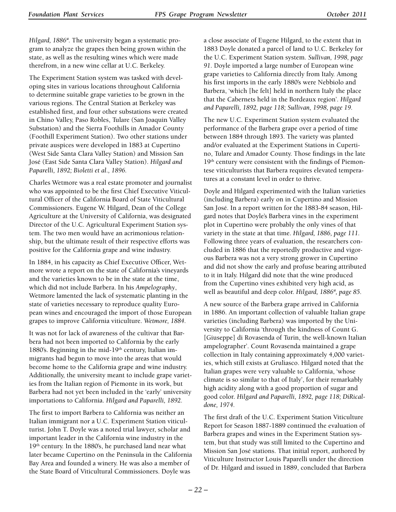*Hilgard, 1886a.* The university began a systematic program to analyze the grapes then being grown within the state, as well as the resulting wines which were made therefrom, in a new wine cellar at U.C. Berkeley.

The Experiment Station system was tasked with developing sites in various locations throughout California to determine suitable grape varieties to be grown in the various regions. The Central Station at Berkeley was established first, and four other substations were created in Chino Valley, Paso Robles, Tulare (San Joaquin Valley Substation) and the Sierra Foothills in Amador County (Foothill Experiment Station). Two other stations under private auspices were developed in 1883 at Cupertino (West Side Santa Clara Valley Station) and Mission San José (East Side Santa Clara Valley Station). *Hilgard and Paparelli, 1892; Bioletti et al., 1896.*

Charles Wetmore was a real estate promoter and journalist who was appointed to be the first Chief Executive Viticultural Officer of the California Board of State Viticultural Commissioners. Eugene W. Hilgard, Dean of the College Agriculture at the University of California, was designated Director of the U.C. Agricultural Experiment Station system. The two men would have an acrimonious relationship, but the ultimate result of their respective efforts was positive for the California grape and wine industry.

In 1884, in his capacity as Chief Executive Officer, Wetmore wrote a report on the state of California's vineyards and the varieties known to be in the state at the time, which did not include Barbera. In his *Ampelography*, Wetmore lamented the lack of systematic planting in the state of varieties necessary to reproduce quality European wines and encouraged the import of those European grapes to improve California viticulture. *Wetmore, 1884.*

It was not for lack of awareness of the cultivar that Barbera had not been imported to California by the early 1880's. Beginning in the mid-19<sup>th</sup> century, Italian immigrants had begun to move into the areas that would become home to the California grape and wine industry. Additionally, the university meant to include grape varieties from the Italian region of Piemonte in its work, but Barbera had not yet been included in the 'early' university importations to California. *Hilgard and Paparelli, 1892.*

The first to import Barbera to California was neither an Italian immigrant nor a U.C. Experiment Station viticulturist. John T. Doyle was a noted trial lawyer, scholar and important leader in the California wine industry in the 19th century. In the 1880's, he purchased land near what later became Cupertino on the Peninsula in the California Bay Area and founded a winery. He was also a member of the State Board of Viticultural Commissioners. Doyle was

a close associate of Eugene Hilgard, to the extent that in 1883 Doyle donated a parcel of land to U.C. Berkeley for the U.C. Experiment Station system. *Sullivan, 1998, page 91*. Doyle imported a large number of European wine grape varieties to California directly from Italy. Among his first imports in the early 1880's were Nebbiolo and Barbera, 'which [he felt] held in northern Italy the place that the Cabernets held in the Bordeaux region'. *Hilgard and Paparelli, 1892, page 118; Sullivan, 1998, page 19.*

The new U.C. Experiment Station system evaluated the performance of the Barbera grape over a period of time between 1884 through 1893. The variety was planted and/or evaluated at the Experiment Stations in Cupertino, Tulare and Amador County. Those findings in the late 19<sup>th</sup> century were consistent with the findings of Piemontese viticulturists that Barbera requires elevated temperatures at a constant level in order to thrive.

Doyle and Hilgard experimented with the Italian varieties (including Barbera) early on in Cupertino and Mission San José. In a report written for the 1883-84 season, Hilgard notes that Doyle's Barbera vines in the experiment plot in Cupertino were probably the only vines of that variety in the state at that time. *Hilgard, 1886, page 111.*  Following three years of evaluation, the researchers concluded in 1886 that the reportedly productive and vigorous Barbera was not a very strong grower in Cupertino and did not show the early and profuse bearing attributed to it in Italy. Hilgard did note that the wine produced from the Cupertino vines exhibited very high acid, as well as beautiful and deep color. *Hilgard*, 1886<sup>a</sup>, page 85.

A new source of the Barbera grape arrived in California in 1886. An important collection of valuable Italian grape varieties (including Barbera) was imported by the University to California 'through the kindness of Count G. [Giuseppe] di Rovasenda of Turin, the well-known Italian ampelographer'. Count Rovasenda maintained a grape collection in Italy containing approximately 4,000 varieties, which still exists at Gruliasco. Hilgard noted that the Italian grapes were very valuable to California, 'whose climate is so similar to that of Italy', for their remarkably high acidity along with a good proportion of sugar and good color. *Hilgard and Paparelli, 1892, page 118; DiRicaldone, 1974.*

The first draft of the U.C. Experiment Station Viticulture Report for Season 1887-1889 continued the evaluation of Barbera grapes and wines in the Experiment Station system, but that study was still limited to the Cupertino and Mission San José stations. That initial report, authored by Viticulture Instructor Louis Paparelli under the direction of Dr. Hilgard and issued in 1889, concluded that Barbera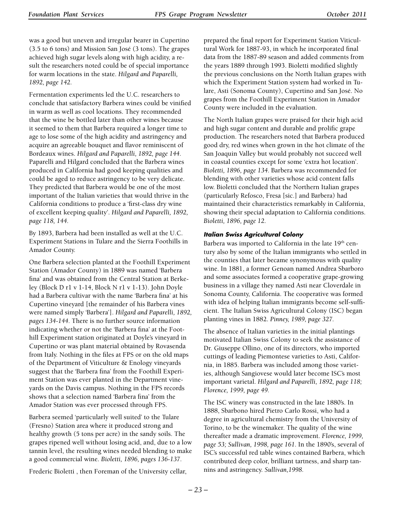was a good but uneven and irregular bearer in Cupertino (3.5 to 6 tons) and Mission San José (3 tons). The grapes achieved high sugar levels along with high acidity, a result the researchers noted could be of special importance for warm locations in the state. *Hilgard and Paparelli, 1892, page 142.*

Fermentation experiments led the U.C. researchers to conclude that satisfactory Barbera wines could be vinified in warm as well as cool locations. They recommended that the wine be bottled later than other wines because it seemed to them that Barbera required a longer time to age to lose some of the high acidity and astringency and acquire an agreeable bouquet and flavor reminiscent of Bordeaux wines. *Hilgard and Paparelli, 1892, page 144.*  Paparelli and Hilgard concluded that the Barbera wines produced in California had good keeping qualities and could be aged to reduce astringency to be very delicate. They predicted that Barbera would be one of the most important of the Italian varieties that would thrive in the California conditions to produce a 'first-class dry wine of excellent keeping quality'. *Hilgard and Paparelli, 1892, page 118, 144.*

By 1893, Barbera had been installed as well at the U.C. Experiment Stations in Tulare and the Sierra Foothills in Amador County.

One Barbera selection planted at the Foothill Experiment Station (Amador County) in 1889 was named 'Barbera fina' and was obtained from the Central Station at Berkeley (Block D r1 v 1-14, Block N r1 v 1-13). John Doyle had a Barbera cultivar with the name 'Barbera fina' at his Cupertino vineyard [the remainder of his Barbera vines were named simply 'Barbera']. *Hilgard and Paparelli, 1892, pages 134-144.* There is no further source information indicating whether or not the 'Barbera fina' at the Foothill Experiment station originated at Doyle's vineyard in Cupertino or was plant material obtained by Rovasenda from Italy. Nothing in the files at FPS or on the old maps of the Department of Viticulture & Enology vineyards suggest that the 'Barbera fina' from the Foothill Experiment Station was ever planted in the Department vineyards on the Davis campus. Nothing in the FPS records shows that a selection named 'Barbera fina' from the Amador Station was ever processed through FPS.

Barbera seemed 'particularly well suited' to the Tulare (Fresno) Station area where it produced strong and healthy growth (5 tons per acre) in the sandy soils. The grapes ripened well without losing acid, and, due to a low tannin level, the resulting wines needed blending to make a good commercial wine. *Bioletti, 1896, pages 136-137.*

Frederic Bioletti , then Foreman of the University cellar,

prepared the final report for Experiment Station Viticultural Work for 1887-93, in which he incorporated final data from the 1887-89 season and added comments from the years 1889 through 1993. Bioletti modified slightly the previous conclusions on the North Italian grapes with which the Experiment Station system had worked in Tulare, Asti (Sonoma County), Cupertino and San José. No grapes from the Foothill Experiment Station in Amador County were included in the evaluation.

The North Italian grapes were praised for their high acid and high sugar content and durable and prolific grape production. The researchers noted that Barbera produced good dry, red wines when grown in the hot climate of the San Joaquin Valley but would probably not succeed well in coastal counties except for some 'extra hot location'. *Bioletti, 1896, page 134.* Barbera was recommended for blending with other varieties whose acid content falls low. Bioletti concluded that the Northern Italian grapes (particularly Refosco, Fresa [sic.] and Barbera) had maintained their characteristics remarkably in California, showing their special adaptation to California conditions. *Bioletti, 1896, page 12.*

## *Italian Swiss Agricultural Colony*

Barbera was imported to California in the late 19<sup>th</sup> century also by some of the Italian immigrants who settled in the counties that later became synonymous with quality wine. In 1881, a former Genoan named Andrea Sbarboro and some associates formed a cooperative grape-growing business in a village they named Asti near Cloverdale in Sonoma County, California. The cooperative was formed with idea of helping Italian immigrants become self-sufficient. The Italian Swiss Agricultural Colony (ISC) began planting vines in 1882. *Pinney, 1989, page 327.*

The absence of Italian varieties in the initial plantings motivated Italian Swiss Colony to seek the assistance of Dr. Giuseppe Ollino, one of its directors, who imported cuttings of leading Piemontese varieties to Asti, California, in 1885. Barbera was included among those varieties, although Sangiovese would later become ISC's most important varietal. *Hilgard and Paparelli, 1892, page 118; Florence, 1999, page 49.*

The ISC winery was constructed in the late 1880's. In 1888, Sbarbono hired Pietro Carlo Rossi, who had a degree in agricultural chemistry from the University of Torino, to be the winemaker. The quality of the wine thereafter made a dramatic improvement. *Florence, 1999, page 53; Sullivan, 1998, page 161.* In the 1890's, several of ISC's successful red table wines contained Barbera, which contributed deep color, brilliant tartness, and sharp tannins and astringency. *Sullivan,1998.*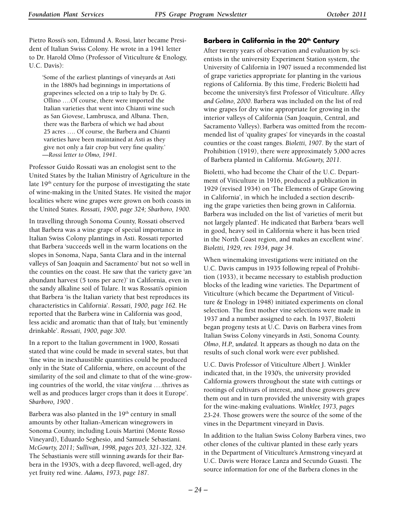Pietro Rossi's son, Edmund A. Rossi, later became President of Italian Swiss Colony. He wrote in a 1941 letter to Dr. Harold Olmo (Professor of Viticulture & Enology, U.C. Davis):

'Some of the earliest plantings of vineyards at Asti in the 1880's had beginnings in importations of grapevines selected on a trip to Italy by Dr. G. Ollino ….Of course, there were imported the Italian varieties that went into Chianti wine such as San Giovese, Lambrusca, and Albana. Then, there was the Barbera of which we had about 25 acres …. Of course, the Barbera and Chianti varieties have been maintained at Asti as they give not only a fair crop but very fine quality.' —*Rossi letter to Olmo, 1941.*

Professor Guido Rossati was an enologist sent to the United States by the Italian Ministry of Agriculture in the late  $19<sup>th</sup>$  century for the purpose of investigating the state of wine-making in the United States. He visited the major localities where wine grapes were grown on both coasts in the United States. *Rossati, 1900, page 324; Sbarboro, 1900.*

In travelling through Sonoma County, Rossati observed that Barbera was a wine grape of special importance in Italian Swiss Colony plantings in Asti. Rossati reported that Barbera 'succeeds well in the warm locations on the slopes in Sonoma, Napa, Santa Clara and in the internal valleys of San Joaquin and Sacramento' but not so well in the counties on the coast. He saw that the variety gave 'an abundant harvest (5 tons per acre)' in California, even in the sandy alkaline soil of Tulare. It was Rossati's opinion that Barbera 'is the Italian variety that best reproduces its characteristics in California'. *Rossati, 1900, page 162.* He reported that the Barbera wine in California was good, less acidic and aromatic than that of Italy, but 'eminently drinkable'. *Rossati, 1900, page 300.*

In a report to the Italian government in 1900, Rossati stated that wine could be made in several states, but that 'fine wine in inexhaustible quantities could be produced only in the State of California, where, on account of the similarity of the soil and climate to that of the wine-growing countries of the world, the *vitae vinifera* ….thrives as well as and produces larger crops than it does it Europe'. S*barboro, 1900 .*

Barbera was also planted in the  $19<sup>th</sup>$  century in small amounts by other Italian-American winegrowers in Sonoma County, including Louis Martini (Monte Rosso Vineyard), Eduardo Seghesio, and Samuele Sebastiani. *McGourty, 2011; Sullivan, 1998, pages 203, 321-322, 324.*  The Sebastianis were still winning awards for their Barbera in the 1930's, with a deep flavored, well-aged, dry yet fruity red wine. *Adams, 1973, page 187.*

## **Barbera in California in the 20<sup>th</sup> Century**

After twenty years of observation and evaluation by scientists in the university Experiment Station system, the University of California in 1907 issued a recommended list of grape varieties appropriate for planting in the various regions of California. By this time, Frederic Bioletti had become the university's first Professor of Viticulture. *Alley and Golino, 2000.* Barbera was included on the list of red wine grapes for dry wine appropriate for growing in the interior valleys of California (San Joaquin, Central, and Sacramento Valleys). Barbera was omitted from the recommended list of 'quality grapes' for vineyards in the coastal counties or the coast ranges. *Bioletti, 1907.* By the start of Prohibition (1919), there were approximately 5,000 acres of Barbera planted in California. *McGourty, 2011.*

Bioletti, who had become the Chair of the U.C. Department of Viticulture in 1916, produced a publication in 1929 (revised 1934) on 'The Elements of Grape Growing in California', in which he included a section describing the grape varieties then being grown in California. Barbera was included on the list of 'varieties of merit but not largely planted'. He indicated that Barbera 'bears well in good, heavy soil in California where it has been tried in the North Coast region, and makes an excellent wine'. *Bioletti, 1929, rev. 1934, page 34.*

When winemaking investigations were initiated on the U.C. Davis campus in 1935 following repeal of Prohibition (1933), it became necessary to establish production blocks of the leading wine varieties. The Department of Viticulture (which became the Department of Viticulture & Enology in 1948) initiated experiments on clonal selection. The first mother vine selections were made in 1937 and a number assigned to each. In 1937, Bioletti began progeny tests at U.C. Davis on Barbera vines from Italian Swiss Colony vineyards in Asti, Sonoma County. *Olmo*, *H.P., undated.* It appears as though no data on the results of such clonal work were ever published.

U.C. Davis Professor of Viticulture Albert J. Winkler indicated that, in the 1930's, the university provided California growers throughout the state with cuttings or rootings of cultivars of interest, and those growers grew them out and in turn provided the university with grapes for the wine-making evaluations. *Winkler, 1973, pages 23-24.* Those growers were the source of the some of the vines in the Department vineyard in Davis.

In addition to the Italian Swiss Colony Barbera vines, two other clones of the cultivar planted in these early years in the Department of Viticulture's Armstrong vineyard at U.C. Davis were Horace Lanza and Secundo Guasti. The source information for one of the Barbera clones in the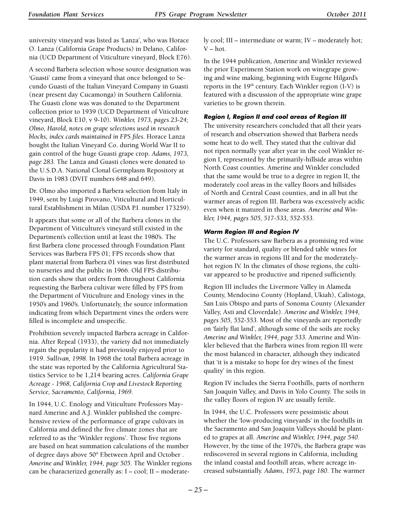university vineyard was listed as 'Lanza', who was Horace O. Lanza (California Grape Products) in Delano, California (UCD Department of Viticulture vineyard, Block E76).

A second Barbera selection whose source designation was 'Guasti' came from a vineyard that once belonged to Secundo Guasti of the Italian Vineyard Company in Guasti (near present day Cucamonga) in Southern California. The Guasti clone was was donated to the Department collection prior to 1939 (UCD Department of Viticulture vineyard, Block E10, v 9-10). *Winkler, 1973, pages 23-24; Olmo, Harold, notes on grape selections used in research blocks, index cards maintained in FPS files.* Horace Lanza bought the Italian Vineyard Co. during World War II to gain control of the huge Guasti grape crop. *Adams, 1973, page 283.* The Lanza and Guasti clones were donated to the U.S.D.A. National Clonal Germplasm Repository at Davis in 1983 (DVIT numbers 648 and 649).

Dr. Olmo also imported a Barbera selection from Italy in 1949, sent by Luigi Pirovano, Viticultural and Horticultural Establishment in Milan (USDA P.I. number 173259).

It appears that some or all of the Barbera clones in the Department of Viticulture's vineyard still existed in the Department's collection until at least the 1980's. The first Barbera clone processed through Foundation Plant Services was Barbera FPS 01; FPS records show that plant material from Barbera 01 vines was first distributed to nurseries and the public in 1966. Old FPS distribution cards show that orders from throughout California requesting the Barbera cultivar were filled by FPS from the Department of Viticulture and Enology vines in the 1950's and 1960's. Unfortunately, the source information indicating from which Department vines the orders were filled is incomplete and unspecific.

Prohibition severely impacted Barbera acreage in California. After Repeal (1933), the variety did not immediately regain the popularity it had previously enjoyed prior to 1919. *Sullivan, 1998.* In 1968 the total Barbera acreage in the state was reported by the California Agricultural Statistics Service to be 1,214 bearing acres. *California Grape Acreage - 1968, California Crop and Livestock Reporting Service, Sacramento, California, 1969.*

In 1944, U.C. Enology and Viticulture Professors Maynard Amerine and A.J. Winkler published the comprehensive review of the performance of grape cultivars in California and defined the five climate zones that are referred to as the 'Winkler regions'. Those five regions are based on heat summation calculations of the number of degree days above 50° F.between April and October . *Amerine and Winkler, 1944, page 505.* The Winkler regions can be characterized generally as: I – cool; II – moderately cool; III – intermediate or warm; IV – moderately hot; V – hot.

In the 1944 publication, Amerine and Winkler reviewed the prior Experiment Station work on winegrape growing and wine making, beginning with Eugene Hilgard's reports in the  $19<sup>th</sup>$  century. Each Winkler region (I-V) is featured with a discussion of the appropriate wine grape varieties to be grown therein.

## *Region I, Region II and cool areas of Region III*

The university researchers concluded that all their years of research and observation showed that Barbera needs some heat to do well. They stated that the cultivar did not ripen normally year after year in the cool Winkler region I, represented by the primarily-hillside areas within North Coast counties. Amerine and Winkler concluded that the same would be true to a degree in region II, the moderately cool areas in the valley floors and hillsides of North and Central Coast counties, and in all but the warmer areas of region III. Barbera was excessively acidic even when it matured in those areas. *Amerine and Winkler, 1944, pages 505, 517-533, 552-553.*

#### *Warm Region III and Region IV*

The U.C. Professors saw Barbera as a promising red wine variety for standard, quality or blended table wines for the warmer areas in regions III and for the moderatelyhot region IV. In the climates of those regions, the cultivar appeared to be productive and ripened sufficiently.

Region III includes the Livermore Valley in Alameda County, Mendocino County (Hopland, Ukiah), Calistoga, San Luis Obispo and parts of Sonoma County (Alexander Valley, Asti and Cloverdale). *Amerine and Winkler, 1944, pages 505, 552-553.* Most of the vineyards are reportedly on 'fairly flat land', although some of the soils are rocky. *Amerine and Winkler, 1944, page 533.* Amerine and Winkler believed that the Barbera wines from region III were the most balanced in character, although they indicated that 'it is a mistake to hope for dry wines of the finest quality' in this region.

Region IV includes the Sierra Foothills, parts of northern San Joaquin Valley, and Davis in Yolo County. The soils in the valley floors of region IV are usually fertile.

In 1944, the U.C. Professors were pessimistic about whether the 'low-producing vineyards' in the foothills in the Sacramento and San Joaquin Valleys should be planted to grapes at all. *Amerine and Winkler, 1944, page 540.*  However, by the time of the 1970's, the Barbera grape was rediscovered in several regions in California, including the inland coastal and foothill areas, where acreage increased substantially. *Adams, 1973, page 180.* The warmer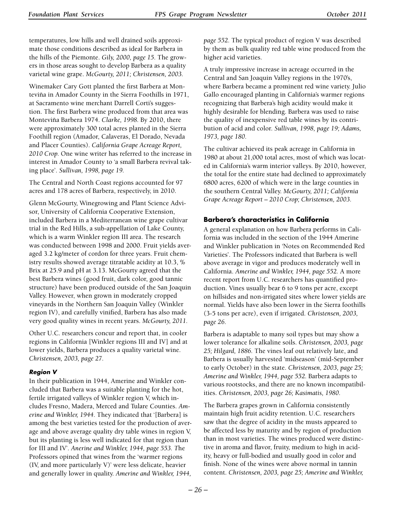temperatures, low hills and well drained soils approximate those conditions described as ideal for Barbera in the hills of the Piemonte. *Gily, 2000, page 15.* The growers in those areas sought to develop Barbera as a quality varietal wine grape. *McGourty, 2011; Christensen, 2003.*

Winemaker Cary Gott planted the first Barbera at Monteviña in Amador County in the Sierra Foothills in 1971, at Sacramento wine merchant Darrell Corti's suggestion. The first Barbera wine produced from that area was Monteviña Barbera 1974. *Clarke, 1998.* By 2010, there were approximately 300 total acres planted in the Sierra Foothill region (Amador, Calaveras, El Dorado, Nevada and Placer Counties). *California Grape Acreage Report, 2010 Crop.* One wine writer has referred to the increase in interest in Amador County to 'a small Barbera revival taking place'. *Sullivan, 1998, page 19.*

The Central and North Coast regions accounted for 97 acres and 178 acres of Barbera, respectively, in 2010.

Glenn McGourty, Winegrowing and Plant Science Advisor, University of California Cooperative Extension, included Barbera in a Mediterranean wine grape cultivar trial in the Red Hills, a sub-appellation of Lake County, which is a warm Winkler region III area. The research was conducted between 1998 and 2000. Fruit yields averaged 3.2 kg/meter of cordon for three years. Fruit chemistry results showed average titratable acidity at 10.3, % Brix at 25.9 and pH at 3.13. McGourty agreed that the best Barbera wines (good fruit, dark color, good tannic structure) have been produced outside of the San Joaquin Valley. However, when grown in moderately cropped vineyards in the Northern San Joaquin Valley (Winkler region IV), and carefully vinified, Barbera has also made very good quality wines in recent years. *McGourty, 2011.*

Other U.C. researchers concur and report that, in cooler regions in California [Winkler regions III and IV] and at lower yields, Barbera produces a quality varietal wine. *Christensen, 2003, page 27.*

## *Region V*

In their publication in 1944, Amerine and Winkler concluded that Barbera was a suitable planting for the hot, fertile irrigated valleys of Winkler region V, which includes Fresno, Madera, Merced and Tulare Counties. *Amerine and Winkler, 1944.* They indicated that '[Barbera] is among the best varieties tested for the production of average and above average quality dry table wines in region V, but its planting is less well indicated for that region than for III and IV'. *Anerine and Winkler, 1944, page 553. T*he Professors opined that wines from the 'warmer regions (IV, and more particularly V)' were less delicate, heavier and generally lower in quality. *Amerine and Winkler, 1944,* 

*page 552.* The typical product of region V was described by them as bulk quality red table wine produced from the higher acid varieties.

A truly impressive increase in acreage occurred in the Central and San Joaquin Valley regions in the 1970's, where Barbera became a prominent red wine variety. Julio Gallo encouraged planting in California's warmer regions recognizing that Barbera's high acidity would make it highly desirable for blending. Barbera was used to raise the quality of inexpensive red table wines by its contribution of acid and color. *Sullivan, 1998, page 19; Adams, 1973, page 180.*

The cultivar achieved its peak acreage in California in 1980 at about 21,000 total acres, most of which was located in California's warm interior valleys. By 2010, however, the total for the entire state had declined to approximately 6800 acres, 6200 of which were in the large counties in the southern Central Valley. *McGourty, 2011; California Grape Acreage Report – 2010 Crop; Christensen, 2003.*

## **Barbera's characteristics in California**

A general explanation on how Barbera performs in California was included in the section of the 1944 Amerine and Winkler publication in 'Notes on Recommended Red Varieties'. The Professors indicated that Barbera is well above average in vigor and produces moderately well in California. *Amerine and Winkler, 1944, page 552.* A more recent report from U.C. researchers has quantified production. Vines usually bear 6 to 9 tons per acre, except on hillsides and non-irrigated sites where lower yields are normal. Yields have also been lower in the Sierra foothills (3-5 tons per acre), even if irrigated. *Christensen, 2003, page 26.*

Barbera is adaptable to many soil types but may show a lower tolerance for alkaline soils. *Christensen, 2003, page 25; Hilgard, 1886.* The vines leaf out relatively late, and Barbera is usually harvested 'midseason' (mid-September to early October) in the state. *Christensen, 2003, page 25; Amerine and Winkler, 1944, page 552.* Barbera adapts to various rootstocks, and there are no known incompatibilities. *Christensen, 2003, page 26; Kasimatis, 1980.*

The Barbera grapes grown in California consistently maintain high fruit acidity retention. U.C. researchers saw that the degree of acidity in the musts appeared to be affected less by maturity and by region of production than in most varieties. The wines produced were distinctive in aroma and flavor, fruity, medium to high in acidity, heavy or full-bodied and usually good in color and finish. None of the wines were above normal in tannin content. *Christensen, 2003, page 25; Amerine and Winkler,*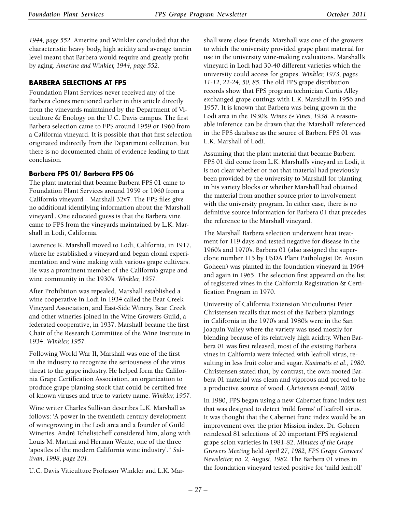*1944, page 552.* Amerine and Winkler concluded that the characteristic heavy body, high acidity and average tannin level meant that Barbera would require and greatly profit by aging. *Amerine and Winkler, 1944, page 552.*

## **Barbera Selections at FPS**

Foundation Plant Services never received any of the Barbera clones mentioned earlier in this article directly from the vineyards maintained by the Department of Viticulture & Enology on the U.C. Davis campus. The first Barbera selection came to FPS around 1959 or 1960 from a California vineyard. It is possible that that first selection originated indirectly from the Department collection, but there is no documented chain of evidence leading to that conclusion.

## **Barbera FPS 01/ Barbera FPS 06**

The plant material that became Barbera FPS 01 came to Foundation Plant Services around 1959 or 1960 from a California vineyard – Marshall 32v7. The FPS files give no additional identifying information about the 'Marshall vineyard'. One educated guess is that the Barbera vine came to FPS from the vineyards maintained by L.K. Marshall in Lodi, California.

Lawrence K. Marshall moved to Lodi, California, in 1917, where he established a vineyard and began clonal experimentation and wine making with various grape cultivars. He was a prominent member of the California grape and wine community in the 1930's. *Winkler, 1957.*

After Prohibition was repealed, Marshall established a wine cooperative in Lodi in 1934 called the Bear Creek Vineyard Association, and East-Side Winery. Bear Creek and other wineries joined in the Wine Growers Guild, a federated cooperative, in 1937. Marshall became the first Chair of the Research Committee of the Wine Institute in 1934. *Winkler, 1957.*

Following World War II, Marshall was one of the first in the industry to recognize the seriousness of the virus threat to the grape industry. He helped form the California Grape Certification Association, an organization to produce grape planting stock that could be certified free of known viruses and true to variety name. *Winkler, 1957.*

Wine writer Charles Sullivan describes L.K. Marshall as follows: 'A power in the twentieth century development of winegrowing in the Lodi area and a founder of Guild Wineries. André Tchelistcheff considered him, along with Louis M. Martini and Herman Wente, one of the three 'apostles of the modern California wine industry'." *Sullivan, 1998, page 201.*

U.C. Davis Viticulture Professor Winkler and L.K. Mar-

shall were close friends. Marshall was one of the growers to which the university provided grape plant material for use in the university wine-making evaluations. Marshall's vineyard in Lodi had 30-40 different varieties which the university could access for grapes. *Winkler, 1973, pages 11-12, 22-24, 50, 85.* The old FPS grape distribution records show that FPS program technician Curtis Alley exchanged grape cuttings with L.K. Marshall in 1956 and 1957. It is known that Barbera was being grown in the Lodi area in the 1930's. *Wines & Vines, 1938.* A reasonable inference can be drawn that the 'Marshall' referenced in the FPS database as the source of Barbera FPS 01 was L.K. Marshall of Lodi.

Assuming that the plant material that became Barbera FPS 01 did come from L.K. Marshall's vineyard in Lodi, it is not clear whether or not that material had previously been provided by the university to Marshall for planting in his variety blocks or whether Marshall had obtained the material from another source prior to involvement with the university program. In either case, there is no definitive source information for Barbera 01 that precedes the reference to the Marshall vineyard.

The Marshall Barbera selection underwent heat treatment for 119 days and tested negative for disease in the 1960's and 1970's. Barbera 01 (also assigned the superclone number 115 by USDA Plant Pathologist Dr. Austin Goheen) was planted in the foundation vineyard in 1964 and again in 1965. The selection first appeared on the list of registered vines in the California Registration & Certification Program in 1970.

University of California Extension Viticulturist Peter Christensen recalls that most of the Barbera plantings in California in the 1970's and 1980's were in the San Joaquin Valley where the variety was used mostly for blending because of its relatively high acidity. When Barbera 01 was first released, most of the existing Barbera vines in California were infected with leafroll virus, resulting in less fruit color and sugar. *Kasimatis et al., 1980.* Christensen stated that, by contrast, the own-rooted Barbera 01 material was clean and vigorous and proved to be a productive source of wood. *Christensen e-mail, 2008.*

In 1980, FPS began using a new Cabernet franc index test that was designed to detect 'mild forms' of leafroll virus. It was thought that the Cabernet franc index would be an improvement over the prior Mission index. Dr. Goheen reindexed 81 selections of 20 important FPS registered grape scion varieties in 1981-82. *Minutes of the Grape Growers Meeting* held *April 27, 1982, FPS Grape Growers' Newsletter, no. 2, August, 1982*. The Barbera 01 vines in the foundation vineyard tested positive for 'mild leafroll'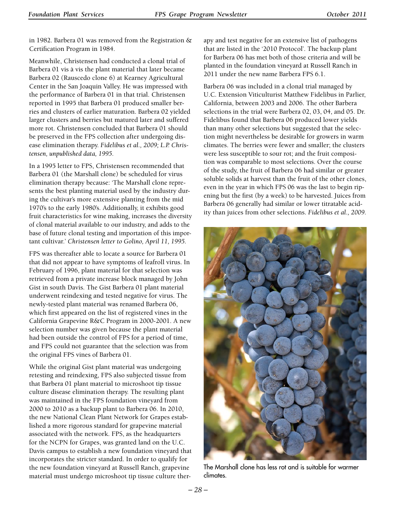in 1982. Barbera 01 was removed from the Registration & Certification Program in 1984.

Meanwhile, Christensen had conducted a clonal trial of Barbera 01 vis à vis the plant material that later became Barbera 02 (Rauscedo clone 6) at Kearney Agricultural Center in the San Joaquin Valley. He was impressed with the performance of Barbera 01 in that trial. Christensen reported in 1995 that Barbera 01 produced smaller berries and clusters of earlier maturation. Barbera 02 yielded larger clusters and berries but matured later and suffered more rot. Christensen concluded that Barbera 01 should be preserved in the FPS collection after undergoing disease elimination therapy. *Fidelibus et al., 2009; L.P. Christensen, unpublished data, 1995.*

In a 1995 letter to FPS, Christensen recommended that Barbera 01 (the Marshall clone) be scheduled for virus elimination therapy because: 'The Marshall clone represents the best planting material used by the industry during the cultivar's more extensive planting from the mid 1970's to the early 1980's. Additionally, it exhibits good fruit characteristics for wine making, increases the diversity of clonal material available to our industry, and adds to the base of future clonal testing and importation of this important cultivar.' *Christensen letter to Golino, April 11, 1995.*

FPS was thereafter able to locate a source for Barbera 01 that did not appear to have symptoms of leafroll virus. In February of 1996, plant material for that selection was retrieved from a private increase block managed by John Gist in south Davis. The Gist Barbera 01 plant material underwent reindexing and tested negative for virus. The newly-tested plant material was renamed Barbera 06, which first appeared on the list of registered vines in the California Grapevine R&C Program in 2000-2001. A new selection number was given because the plant material had been outside the control of FPS for a period of time, and FPS could not guarantee that the selection was from the original FPS vines of Barbera 01.

While the original Gist plant material was undergoing retesting and reindexing, FPS also subjected tissue from that Barbera 01 plant material to microshoot tip tissue culture disease elimination therapy. The resulting plant was maintained in the FPS foundation vineyard from 2000 to 2010 as a backup plant to Barbera 06. In 2010, the new National Clean Plant Network for Grapes established a more rigorous standard for grapevine material associated with the network. FPS, as the headquarters for the NCPN for Grapes, was granted land on the U.C. Davis campus to establish a new foundation vineyard that incorporates the stricter standard. In order to qualify for the new foundation vineyard at Russell Ranch, grapevine material must undergo microshoot tip tissue culture therapy and test negative for an extensive list of pathogens that are listed in the '2010 Protocol'. The backup plant for Barbera 06 has met both of those criteria and will be planted in the foundation vineyard at Russell Ranch in 2011 under the new name Barbera FPS 6.1.

Barbera 06 was included in a clonal trial managed by U.C. Extension Viticulturist Matthew Fidelibus in Parlier, California, between 2003 and 2006. The other Barbera selections in the trial were Barbera 02, 03, 04, and 05. Dr. Fidelibus found that Barbera 06 produced lower yields than many other selections but suggested that the selection might nevertheless be desirable for growers in warm climates. The berries were fewer and smaller; the clusters were less susceptible to sour rot; and the fruit composition was comparable to most selections. Over the course of the study, the fruit of Barbera 06 had similar or greater soluble solids at harvest than the fruit of the other clones, even in the year in which FPS 06 was the last to begin ripening but the first (by a week) to be harvested. Juices from Barbera 06 generally had similar or lower titratable acidity than juices from other selections. *Fidelibus et al., 2009.*



The Marshall clone has less rot and is suitable for warmer climates.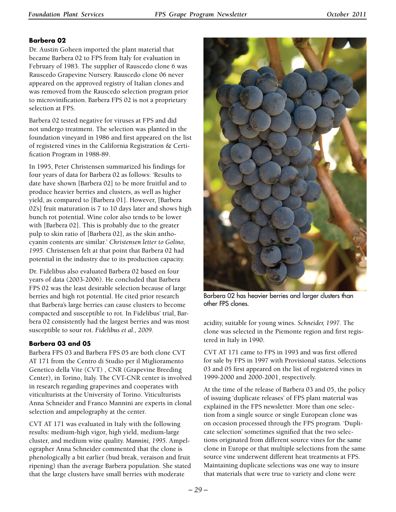## **Barbera 02**

Dr. Austin Goheen imported the plant material that became Barbera 02 to FPS from Italy for evaluation in February of 1983. The supplier of Rauscedo clone 6 was Rauscedo Grapevine Nursery. Rauscedo clone 06 never appeared on the approved registry of Italian clones and was removed from the Rauscedo selection program prior to microvinification. Barbera FPS 02 is not a proprietary selection at FPS.

Barbera 02 tested negative for viruses at FPS and did not undergo treatment. The selection was planted in the foundation vineyard in 1986 and first appeared on the list of registered vines in the California Registration & Certification Program in 1988-89.

In 1995, Peter Christensen summarized his findings for four years of data for Barbera 02 as follows: 'Results to date have shown [Barbera 02] to be more fruitful and to produce heavier berries and clusters, as well as higher yield, as compared to [Barbera 01]. However, [Barbera 02's] fruit maturation is 7 to 10 days later and shows high bunch rot potential. Wine color also tends to be lower with [Barbera 02]. This is probably due to the greater pulp to skin ratio of [Barbera 02], as the skin anthocyanin contents are similar.' *Christensen letter to Golino, 1995*. Christensen felt at that point that Barbera 02 had potential in the industry due to its production capacity.

Dr. Fidelibus also evaluated Barbera 02 based on four years of data (2003-2006). He concluded that Barbera FPS 02 was the least desirable selection because of large berries and high rot potential. He cited prior research that Barbera's large berries can cause clusters to become compacted and susceptible to rot. In Fidelibus' trial, Barbera 02 consistently had the largest berries and was most susceptible to sour rot. *Fidelibus et al., 2009.*

## **Barbera 03 and 05**

Barbera FPS 03 and Barbera FPS 05 are both clone CVT AT 171 from the Centro di Studio per il Miglioramento Genetico della Vite (CVT) , CNR (Grapevine Breeding Center), in Torino, Italy. The CVT-CNR center is involved in research regarding grapevines and cooperates with viticulturists at the University of Torino. Viticulturists Anna Schneider and Franco Mannini are experts in clonal selection and ampelography at the center.

CVT AT 171 was evaluated in Italy with the following results: medium-high vigor, high yield, medium-large cluster, and medium wine quality. *Mannini, 1995.* Ampelographer Anna Schneider commented that the clone is phenologically a bit earlier (bud break, veraison and fruit ripening) than the average Barbera population. She stated that the large clusters have small berries with moderate



Barbera 02 has heavier berries and larger clusters than other FPS clones.

acidity, suitable for young wines. *Schneider, 1997.* The clone was selected in the Piemonte region and first registered in Italy in 1990.

CVT AT 171 came to FPS in 1993 and was first offered for sale by FPS in 1997 with Provisional status. Selections 03 and 05 first appeared on the list of registered vines in 1999-2000 and 2000-2001, respectively.

At the time of the release of Barbera 03 and 05, the policy of issuing 'duplicate releases' of FPS plant material was explained in the FPS newsletter. More than one selection from a single source or single European clone was on occasion processed through the FPS program. 'Duplicate selection' sometimes signified that the two selections originated from different source vines for the same clone in Europe or that multiple selections from the same source vine underwent different heat treatments at FPS. Maintaining duplicate selections was one way to insure that materials that were true to variety and clone were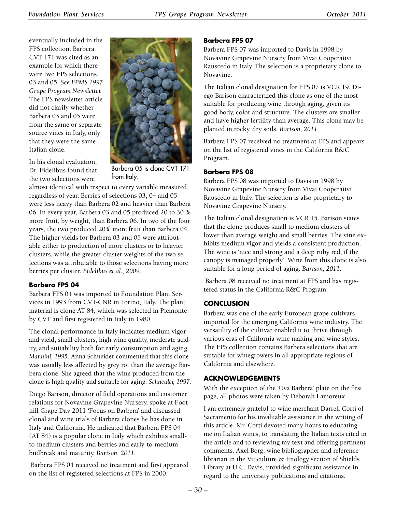eventually included in the FPS collection. Barbera CVT 171 was cited as an example for which there were two FPS selections, 03 and 05. *See FPMS 1997 Grape Program Newsletter.*  The FPS newsletter article did not clarify whether Barbera 03 and 05 were from the same or separate source vines in Italy, only that they were the same Italian clone.

In his clonal evaluation, Dr. Fidelibus found that the two selections were



Barbera 05 is clone CVT 171 from Italy.

almost identical with respect to every variable measured, regardless of year. Berries of selections 03, 04 and 05 were less heavy than Barbera 02 and heavier than Barbera 06. In every year, Barbera 03 and 05 produced 20 to 30 % more fruit, by weight, than Barbera 06. In two of the four years, the two produced 20% more fruit than Barbera 04. The higher yields for Barbera 03 and 05 were attributable either to production of more clusters or to heavier clusters, while the greater cluster weights of the two selections was attributable to those selections having more berries per cluster. *Fidelibus et al., 2009.*

## **Barbera FPS 04**

Barbera FPS 04 was imported to Foundation Plant Services in 1993 from CVT-CNR in Torino, Italy. The plant material is clone AT 84, which was selected in Piemonte by CVT and first registered in Italy in 1980.

The clonal performance in Italy indicates medium vigor and yield, small clusters, high wine quality, moderate acidity, and suitability both for early consumption and aging. *Mannini, 1995.* Anna Schneider commented that this clone was usually less affected by grey rot than the average Barbera clone. She agreed that the wine produced from the clone is high quality and suitable for aging. *Schneider, 1997.*

Diego Barison, director of field operations and customer relations for Novavine Grapevine Nursery, spoke at Foothill Grape Day 2011 'Focus on Barbera' and discussed clonal and wine trials of Barbera clones he has done in Italy and California. He indicated that Barbera FPS 04 (AT 84) is a popular clone in Italy which exhibits smallto-medium clusters and berries and early-to-medium budbreak and maturity. *Barison, 2011.*

 Barbera FPS 04 received no treatment and first appeared on the list of registered selections at FPS in 2000.

### **Barbera FPS 07**

Barbera FPS 07 was imported to Davis in 1998 by Novavine Grapevine Nursery from Vivai Cooperativi Rauscedo in Italy. The selection is a proprietary clone to Novavine.

The Italian clonal designation for FPS 07 is VCR 19. Diego Barison characterized this clone as one of the most suitable for producing wine through aging, given its good body, color and structure. The clusters are smaller and have higher fertility than average. This clone may be planted in rocky, dry soils. *Barison, 2011.*

Barbera FPS 07 received no treatment at FPS and appears on the list of registered vines in the California R&C Program.

## **Barbera FPS 08**

Barbera FPS 08 was imported to Davis in 1998 by Novavine Grapevine Nursery from Vivai Cooperativi Rauscedo in Italy. The selection is also proprietary to Novavine Grapevine Nursery.

The Italian clonal designation is VCR 15. Barison states that the clone produces small to medium clusters of lower than average weight and small berries. The vine exhibits medium vigor and yields a consistent production. The wine is 'nice and strong and a deep ruby red, if the canopy is managed properly'. Wine from this clone is also suitable for a long period of aging. *Barison, 2011.*

 Barbera 08 received no treatment at FPS and has registered status in the California R&C Program.

## **Conclusion**

Barbera was one of the early European grape cultivars imported for the emerging California wine industry. The versatility of the cultivar enabled it to thrive through various eras of California wine making and wine styles. The FPS collection contains Barbera selections that are suitable for winegrowers in all appropriate regions of California and elsewhere.

## **Acknowledgements**

With the exception of the 'Uva Barbera' plate on the first page, all photos were taken by Deborah Lamoreux.

I am extremely grateful to wine merchant Darrell Corti of Sacramento for his invaluable assistance in the writing of this article. Mr. Corti devoted many hours to educating me on Italian wines, to translating the Italian texts cited in the article and to reviewing my text and offering pertinent comments. Axel Borg, wine bibliographer and reference librarian in the Viticulture & Enology section of Shields Library at U.C. Davis, provided significant assistance in regard to the university publications and citations.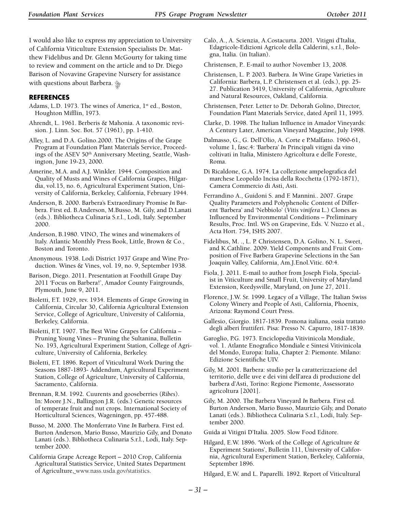I would also like to express my appreciation to University of California Viticulture Extension Specialists Dr. Matthew Fidelibus and Dr. Glenn McGourty for taking time to review and comment on the article and to Dr. Diego Barison of Novavine Grapevine Nursery for assistance with questions about Barbera.  $\frac{\partial f}{\partial x}$ 

#### **References**

- Adams, L.D. 1973. The wines of America, 1<sup>st</sup> ed., Boston, Houghton Mifflin, 1973.
- Ahrendt, L. 1961. Berberis & Mahonia. A taxonomic revision. J. Linn. Soc. Bot. 57 (1961), pp. 1-410.
- Alley, L. and D.A. Golino.2000. The Origins of the Grape Program at Foundation Plant Materials Service, Proceedings of the ASEV 50<sup>th</sup> Anniversary Meeting, Seattle, Washington, June 19-23, 2000.

Amerine, M.A. and A.J. Winkler. 1944. Composition and Quality of Musts and Wines of California Grapes, Hilgardia, vol.15, no. 6, Agricultural Experiment Station, University of California, Berkeley, California, February 1944.

Anderson, B. 2000. Barbera's Extraordinary Promise *In* Barbera. First ed. B.Anderson, M.Busso, M. Gily, and D.Lanati (eds.). Bibliotheca Culinaria S.r.l., Lodi, Italy. September 2000.

- Anderson, B.1980. VINO, The wines and winemakers of Italy. Atlantic Monthly Press Book, Little, Brown & Co., Boston and Toronto.
- Anonymous. 1938. Lodi District 1937 Grape and Wine Production. Wines & Vines, vol. 19, no. 9, September 1938.

Barison, Diego. 2011. Presentation at Foothill Grape Day 2011 'Focus on Barbera!', Amador County Fairgrounds, Plymouth, June 9, 2011.

Bioletti, F.T. 1929, rev. 1934. Elements of Grape Growing in California, Circular 30, California Agricultural Extension Service, College of Agriculture, University of California, Berkeley, California.

Bioletti, F.T. 1907. The Best Wine Grapes for California -Pruning Young Vines – Pruning the Sultanina, Bulletin No. 193, Agricultural Experiment Station, College of Agriculture, University of California, Berkeley.

Bioletti, F.T. 1896. Report of Viticultural Work During the Seasons 1887-1893- Addendum, Agricultural Experiment Station, College of Agriculture, University of California, Sacramento, California.

Brennan, R.M. 1992. Cuurents and gooseberries (*Ribes*). In: Moore J.N., Ballington J.R. (eds.) Genetic resources of temperate fruit and nut crops. International Society of Horticultural Sciences, Wageningen, pp. 457-488.

Busso, M. 2000. The Monferrato Vine *In* Barbera. First ed. Burton Anderson, Mario Busso, Maurizio Gily, and Donato Lanati (eds.). Bibliotheca Culinaria S.r.l., Lodi, Italy. September 2000.

California Grape Acreage Report – 2010 Crop, California Agricultural Statistics Service, United States Department of Agriculture, [www.nass.usda.gov/statistics](http://www.nass.usda.gov/statistics).

Calò, A., A. Scienzia, A.Costacurta. 2001. Vitigni d'Italia, Edagricole-Edizioni Agricole della Calderini, s.r.l., Bologna, Italia. (in Italian).

Christensen, P.. E-mail to author November 13, 2008.

- Christensen, L. P. 2003. Barbera. *In* Wine Grape Varieties in California: Barbera, L.P. Christensen et al. (eds.), pp. 25- 27. Publication 3419, University of California, Agriculture and Natural Resources, Oakland, California.
- Christensen, Peter. Letter to Dr. Deborah Golino, Director, Foundation Plant Materials Service, dated April 11, 1995.

Clarke, D. 1998. The Italian Influence in Amador Vineyards: A Century Later, American Vineyard Magazine, July 1998.

Dalmasso, G., G. Dell'Olio, A. Corte e P.Malfatto. 1960-61, volume 1, fasc.4: 'Barbera' *In* Principali vitigni da vino coltivati in Italia, Ministero Agricoltura e delle Foreste, Roma.

Di Ricaldone, G.A. 1974. La collezione ampelografica del marchese Leopoldo Incisa della Rocchetta (1792-1871), Camera Commercio di Asti, Asti.

Ferrandino A., Guidoni S. and F. Mannini.. 2007. Grape Quality Parameters and Polyphenolic Content of Different 'Barbera' and 'Nebbiolo' (*Vitis vinifera* L.) Clones as Influenced by Environmental Conditions – Preliminary Results, Proc. Intl. WS on Grapevine, Eds. V. Nuzzo et al., Acta Hort. 754, ISHS 2007.

Fidelibus, M. ., L. P. Christensen, D.A. Golino, N. L. Sweet, and K.Cathline. 2009. Yield Components and Fruit Composition of Five Barbera Grapevine Selections in the San Joaquin Valley, California, Am.J.Enol.Vitic. 60:4.

Fiola, J. 2011. E-mail to author from Joseph Fiola, Specialist in Viticulture and Small Fruit, University of Maryland Extension, Keedysville, Maryland, on June 27, 2011.

Florence, J.W. Sr. 1999. Legacy of a Village, The Italian Swiss Colony Winery and People of Asti, California, Phoenix, Arizona: Raymond Court Press.

Gallesio, Giorgio. 1817-1839. Pomona italiana, ossia trattato degli alberi fruttiferi. Pisa: Presso N. Capurro, 1817-1839.

Garoglio, P.G. 1973. Enciclopedia Vitivinicola Mondiale, vol. 1. Atlante Enografico Mondiale e Sintesi Vitivinicola del Mondo, Europa: Italia, Chapter 2: Piemonte. Milano: Edizione Scientifiche UIV.

Gily, M. 2001. Barbera: studio per la caratterizzazione del territorio, delle uve e dei vini dell'area di produzione del barbera d'Asti, Torino: Regione Piemonte, Assessorato agricoltura [2001].

Gily, M. 2000. The Barbera Vineyard *In* Barbera. First ed. Burton Anderson, Mario Busso, Maurizio Gily, and Donato Lanati (eds.). Bibliotheca Culinaria S.r.l., Lodi, Italy. September 2000.

Guida ai Vitigni D'Italia. 2005. Slow Food Editore.

Hilgard, E.W. 1896. 'Work of the College of Agriculture & Experiment Stations', Bulletin 111, University of California, Agricultural Experiment Station, Berkeley, California, September 1896.

Hilgard, E.W. and L. Paparelli. 1892. Report of Viticultural